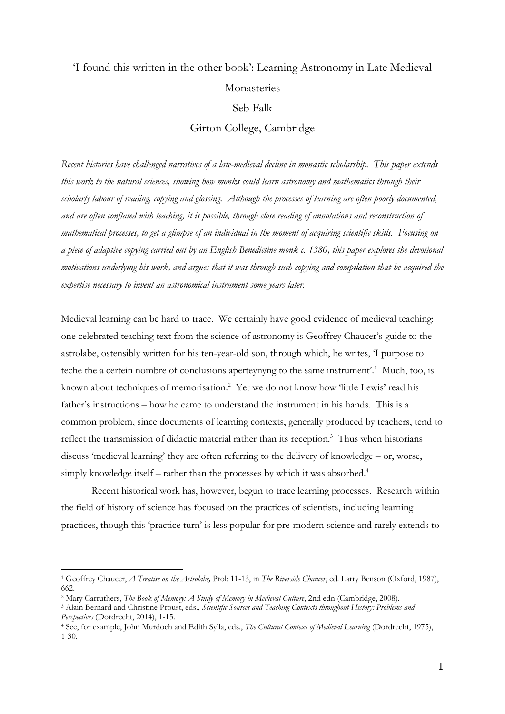## 'I found this written in the other book': Learning Astronomy in Late Medieval Monasteries Seb Falk Girton College, Cambridge

*Recent histories have challenged narratives of a late-medieval decline in monastic scholarship. This paper extends this work to the natural sciences, showing how monks could learn astronomy and mathematics through their scholarly labour of reading, copying and glossing. Although the processes of learning are often poorly documented, and are often conflated with teaching, it is possible, through close reading of annotations and reconstruction of mathematical processes, to get a glimpse of an individual in the moment of acquiring scientific skills. Focusing on a piece of adaptive copying carried out by an English Benedictine monk c. 1380, this paper explores the devotional motivations underlying his work, and argues that it was through such copying and compilation that he acquired the expertise necessary to invent an astronomical instrument some years later.*

Medieval learning can be hard to trace. We certainly have good evidence of medieval teaching: one celebrated teaching text from the science of astronomy is Geoffrey Chaucer's guide to the astrolabe, ostensibly written for his ten-year-old son, through which, he writes, 'I purpose to teche the a certein nombre of conclusions aperteynyng to the same instrument'.<sup>1</sup> Much, too, is known about techniques of memorisation.<sup>2</sup> Yet we do not know how 'little Lewis' read his father's instructions – how he came to understand the instrument in his hands. This is a common problem, since documents of learning contexts, generally produced by teachers, tend to reflect the transmission of didactic material rather than its reception.<sup>3</sup> Thus when historians discuss 'medieval learning' they are often referring to the delivery of knowledge – or, worse, simply knowledge itself – rather than the processes by which it was absorbed.<sup>4</sup>

Recent historical work has, however, begun to trace learning processes. Research within the field of history of science has focused on the practices of scientists, including learning practices, though this 'practice turn' is less popular for pre-modern science and rarely extends to

<sup>1</sup> Geoffrey Chaucer, *A Treatise on the Astrolabe,* Prol: 11-13, in *The Riverside Chaucer*, ed. Larry Benson (Oxford, 1987), 662.

<sup>&</sup>lt;sup>2</sup> Mary Carruthers, *The Book of Memory: A Study of Memory in Medieval Culture*, 2nd edn (Cambridge, 2008).

<sup>3</sup> Alain Bernard and Christine Proust, eds., *Scientific Sources and Teaching Contexts throughout History: Problems and Perspectives* (Dordrecht, 2014), 1-15.

<sup>4</sup> See, for example, John Murdoch and Edith Sylla, eds., *The Cultural Context of Medieval Learning* (Dordrecht, 1975), 1-30.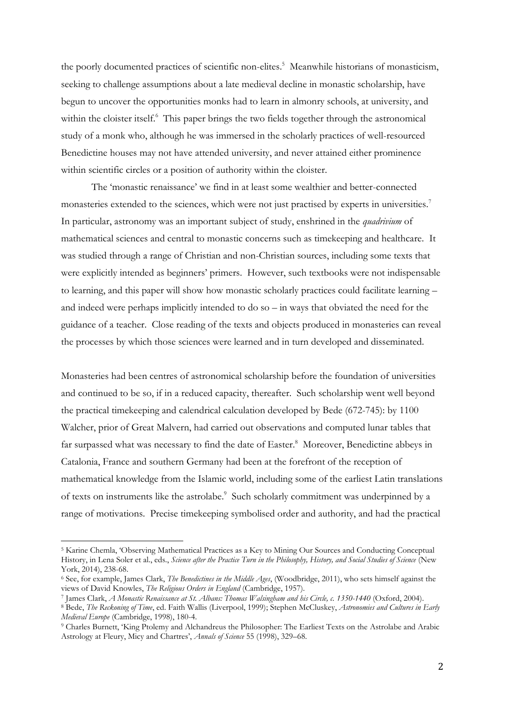the poorly documented practices of scientific non-elites.<sup>5</sup> Meanwhile historians of monasticism, seeking to challenge assumptions about a late medieval decline in monastic scholarship, have begun to uncover the opportunities monks had to learn in almonry schools, at university, and within the cloister itself.<sup>6</sup> This paper brings the two fields together through the astronomical study of a monk who, although he was immersed in the scholarly practices of well-resourced Benedictine houses may not have attended university, and never attained either prominence within scientific circles or a position of authority within the cloister.

The 'monastic renaissance' we find in at least some wealthier and better-connected monasteries extended to the sciences, which were not just practised by experts in universities.<sup>7</sup> In particular, astronomy was an important subject of study, enshrined in the *quadrivium* of mathematical sciences and central to monastic concerns such as timekeeping and healthcare. It was studied through a range of Christian and non-Christian sources, including some texts that were explicitly intended as beginners' primers. However, such textbooks were not indispensable to learning, and this paper will show how monastic scholarly practices could facilitate learning – and indeed were perhaps implicitly intended to do so – in ways that obviated the need for the guidance of a teacher. Close reading of the texts and objects produced in monasteries can reveal the processes by which those sciences were learned and in turn developed and disseminated.

Monasteries had been centres of astronomical scholarship before the foundation of universities and continued to be so, if in a reduced capacity, thereafter. Such scholarship went well beyond the practical timekeeping and calendrical calculation developed by Bede (672-745): by 1100 Walcher, prior of Great Malvern, had carried out observations and computed lunar tables that far surpassed what was necessary to find the date of Easter.<sup>8</sup> Moreover, Benedictine abbeys in Catalonia, France and southern Germany had been at the forefront of the reception of mathematical knowledge from the Islamic world, including some of the earliest Latin translations of texts on instruments like the astrolabe.<sup>9</sup> Such scholarly commitment was underpinned by a range of motivations. Precise timekeeping symbolised order and authority, and had the practical

<sup>5</sup> Karine Chemla, 'Observing Mathematical Practices as a Key to Mining Our Sources and Conducting Conceptual History, in Lena Soler et al., eds., *Science after the Practice Turn in the Philosophy, History, and Social Studies of Science* (New York, 2014), 238-68.

<sup>6</sup> See, for example, James Clark, *The Benedictines in the Middle Ages*, (Woodbridge, 2011), who sets himself against the views of David Knowles, *The Religious Orders in England* (Cambridge, 1957).

<sup>7</sup> James Clark, *A Monastic Renaissance at St. Albans: Thomas Walsingham and his Circle, c. 1350-1440* (Oxford, 2004).

<sup>8</sup> Bede, *The Reckoning of Time*, ed. Faith Wallis (Liverpool, 1999); Stephen McCluskey, *Astronomies and Cultures in Early Medieval Europe* (Cambridge, 1998), 180-4.

<sup>9</sup> Charles Burnett, 'King Ptolemy and Alchandreus the Philosopher: The Earliest Texts on the Astrolabe and Arabic Astrology at Fleury, Micy and Chartres', *Annals of Science* 55 (1998), 329–68.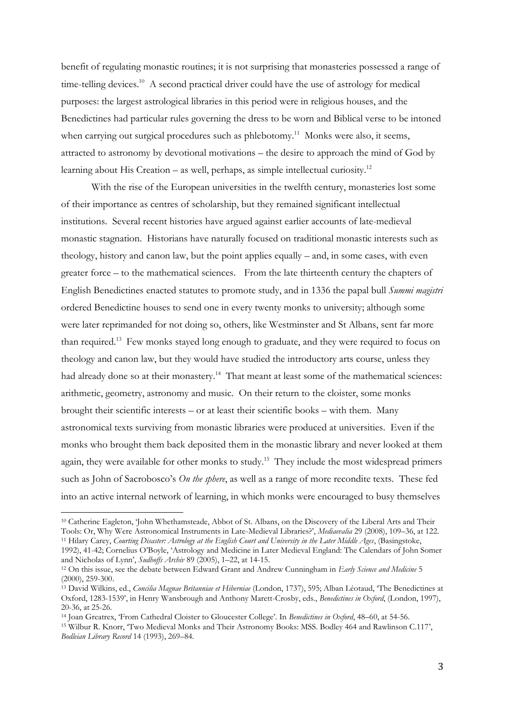benefit of regulating monastic routines; it is not surprising that monasteries possessed a range of time-telling devices.<sup>10</sup> A second practical driver could have the use of astrology for medical purposes: the largest astrological libraries in this period were in religious houses, and the Benedictines had particular rules governing the dress to be worn and Biblical verse to be intoned when carrying out surgical procedures such as phlebotomy.<sup>11</sup> Monks were also, it seems, attracted to astronomy by devotional motivations – the desire to approach the mind of God by learning about His Creation – as well, perhaps, as simple intellectual curiosity.<sup>12</sup>

With the rise of the European universities in the twelfth century, monasteries lost some of their importance as centres of scholarship, but they remained significant intellectual institutions. Several recent histories have argued against earlier accounts of late-medieval monastic stagnation. Historians have naturally focused on traditional monastic interests such as theology, history and canon law, but the point applies equally – and, in some cases, with even greater force – to the mathematical sciences. From the late thirteenth century the chapters of English Benedictines enacted statutes to promote study, and in 1336 the papal bull *Summi magistri* ordered Benedictine houses to send one in every twenty monks to university; although some were later reprimanded for not doing so, others, like Westminster and St Albans, sent far more than required.<sup>13</sup> Few monks stayed long enough to graduate, and they were required to focus on theology and canon law, but they would have studied the introductory arts course, unless they had already done so at their monastery.<sup>14</sup> That meant at least some of the mathematical sciences: arithmetic, geometry, astronomy and music. On their return to the cloister, some monks brought their scientific interests – or at least their scientific books – with them. Many astronomical texts surviving from monastic libraries were produced at universities. Even if the monks who brought them back deposited them in the monastic library and never looked at them again, they were available for other monks to study.<sup>15</sup> They include the most widespread primers such as John of Sacrobosco's *On the sphere*, as well as a range of more recondite texts. These fed into an active internal network of learning, in which monks were encouraged to busy themselves

<sup>10</sup> Catherine Eagleton, 'John Whethamsteade, Abbot of St. Albans, on the Discovery of the Liberal Arts and Their Tools: Or, Why Were Astronomical Instruments in Late-Medieval Libraries?', *Mediaevalia* 29 (2008), 109–36, at 122. <sup>11</sup> Hilary Carey, *Courting Disaster: Astrology at the English Court and University in the Later Middle Ages*, (Basingstoke,

<sup>1992), 41-42;</sup> Cornelius O'Boyle, 'Astrology and Medicine in Later Medieval England: The Calendars of John Somer and Nicholas of Lynn', *Sudhoffs Archiv* 89 (2005), 1–22, at 14-15.

<sup>12</sup> On this issue, see the debate between Edward Grant and Andrew Cunningham in *Early Science and Medicine* 5 (2000), 259-300.

<sup>13</sup> David Wilkins, ed., *Concilia Magnae Britanniae et Hiberniae* (London, 1737), 595; Alban Léotaud, 'The Benedictines at Oxford, 1283-1539', in Henry Wansbrough and Anthony Marett-Crosby, eds., *Benedictines in Oxford*, (London, 1997), 20-36, at 25-26.

<sup>14</sup> Joan Greatrex, 'From Cathedral Cloister to Gloucester College'. In *Benedictines in Oxford*, 48–60, at 54-56. <sup>15</sup> Wilbur R. Knorr, 'Two Medieval Monks and Their Astronomy Books: MSS. Bodley 464 and Rawlinson C.117', *Bodleian Library Record* 14 (1993), 269–84.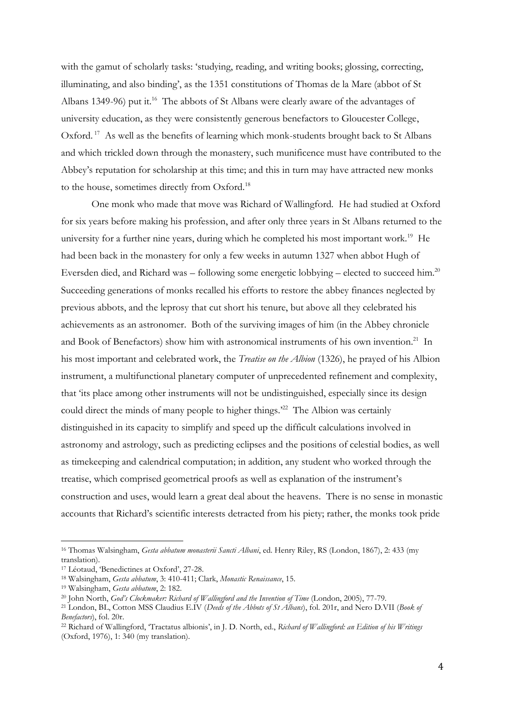with the gamut of scholarly tasks: 'studying, reading, and writing books; glossing, correcting, illuminating, and also binding', as the 1351 constitutions of Thomas de la Mare (abbot of St Albans 1349-96) put it.<sup>16</sup> The abbots of St Albans were clearly aware of the advantages of university education, as they were consistently generous benefactors to Gloucester College, Oxford.<sup>17</sup> As well as the benefits of learning which monk-students brought back to St Albans and which trickled down through the monastery, such munificence must have contributed to the Abbey's reputation for scholarship at this time; and this in turn may have attracted new monks to the house, sometimes directly from Oxford.<sup>18</sup>

One monk who made that move was Richard of Wallingford. He had studied at Oxford for six years before making his profession, and after only three years in St Albans returned to the university for a further nine years, during which he completed his most important work.<sup>19</sup> He had been back in the monastery for only a few weeks in autumn 1327 when abbot Hugh of Eversden died, and Richard was – following some energetic lobbying – elected to succeed him.<sup>20</sup> Succeeding generations of monks recalled his efforts to restore the abbey finances neglected by previous abbots, and the leprosy that cut short his tenure, but above all they celebrated his achievements as an astronomer. Both of the surviving images of him (in the Abbey chronicle and Book of Benefactors) show him with astronomical instruments of his own invention.<sup>21</sup> In his most important and celebrated work, the *Treatise on the Albion* (1326), he prayed of his Albion instrument, a multifunctional planetary computer of unprecedented refinement and complexity, that 'its place among other instruments will not be undistinguished, especially since its design could direct the minds of many people to higher things.<sup>22</sup> The Albion was certainly distinguished in its capacity to simplify and speed up the difficult calculations involved in astronomy and astrology, such as predicting eclipses and the positions of celestial bodies, as well as timekeeping and calendrical computation; in addition, any student who worked through the treatise, which comprised geometrical proofs as well as explanation of the instrument's construction and uses, would learn a great deal about the heavens. There is no sense in monastic accounts that Richard's scientific interests detracted from his piety; rather, the monks took pride

<sup>16</sup> Thomas Walsingham, *Gesta abbatum monasterii Sancti Albani*, ed. Henry Riley, RS (London, 1867), 2: 433 (my translation).

<sup>17</sup> Léotaud, 'Benedictines at Oxford', 27-28.

<sup>18</sup> Walsingham, *Gesta abbatum*, 3: 410-411; Clark, *Monastic Renaissance*, 15.

<sup>19</sup> Walsingham, *Gesta abbatum*, 2: 182.

<sup>&</sup>lt;sup>20</sup> John North, *God's Clockmaker: Richard of Wallingford and the Invention of Time* (London, 2005), 77-79.

<sup>21</sup> London, BL, Cotton MSS Claudius E.IV (*Deeds of the Abbots of St Albans*), fol. 201r, and Nero D.VII (*Book of Benefactors*), fol. 20r.

<sup>22</sup> Richard of Wallingford, 'Tractatus albionis', in J. D. North, ed., *Richard of Wallingford: an Edition of his Writings*  (Oxford, 1976), 1: 340 (my translation).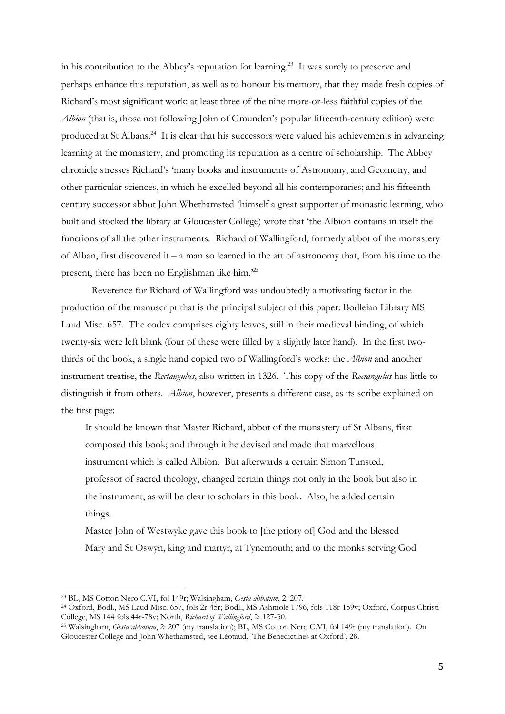in his contribution to the Abbey's reputation for learning.<sup>23</sup> It was surely to preserve and perhaps enhance this reputation, as well as to honour his memory, that they made fresh copies of Richard's most significant work: at least three of the nine more-or-less faithful copies of the *Albion* (that is, those not following John of Gmunden's popular fifteenth-century edition) were produced at St Albans.<sup>24</sup> It is clear that his successors were valued his achievements in advancing learning at the monastery, and promoting its reputation as a centre of scholarship. The Abbey chronicle stresses Richard's 'many books and instruments of Astronomy, and Geometry, and other particular sciences, in which he excelled beyond all his contemporaries; and his fifteenthcentury successor abbot John Whethamsted (himself a great supporter of monastic learning, who built and stocked the library at Gloucester College) wrote that 'the Albion contains in itself the functions of all the other instruments. Richard of Wallingford, formerly abbot of the monastery of Alban, first discovered it – a man so learned in the art of astronomy that, from his time to the present, there has been no Englishman like him.<sup>25</sup>

Reverence for Richard of Wallingford was undoubtedly a motivating factor in the production of the manuscript that is the principal subject of this paper: Bodleian Library MS Laud Misc. 657. The codex comprises eighty leaves, still in their medieval binding, of which twenty-six were left blank (four of these were filled by a slightly later hand). In the first twothirds of the book, a single hand copied two of Wallingford's works: the *Albion* and another instrument treatise, the *Rectangulus*, also written in 1326. This copy of the *Rectangulus* has little to distinguish it from others. *Albion*, however, presents a different case, as its scribe explained on the first page:

It should be known that Master Richard, abbot of the monastery of St Albans, first composed this book; and through it he devised and made that marvellous instrument which is called Albion. But afterwards a certain Simon Tunsted, professor of sacred theology, changed certain things not only in the book but also in the instrument, as will be clear to scholars in this book. Also, he added certain things.

Master John of Westwyke gave this book to [the priory of] God and the blessed Mary and St Oswyn, king and martyr, at Tynemouth; and to the monks serving God

<sup>23</sup> BL, MS Cotton Nero C.VI, fol 149r; Walsingham, *Gesta abbatum*, 2: 207.

<sup>24</sup> Oxford, Bodl., MS Laud Misc. 657, fols 2r-45r; Bodl., MS Ashmole 1796, fols 118r-159v; Oxford, Corpus Christi College, MS 144 fols 44r-78v; North, *Richard of Wallingford*, 2: 127-30.

<sup>25</sup> Walsingham, *Gesta abbatum*, 2: 207 (my translation); BL, MS Cotton Nero C.VI, fol 149r (my translation). On Gloucester College and John Whethamsted, see Léotaud, 'The Benedictines at Oxford', 28.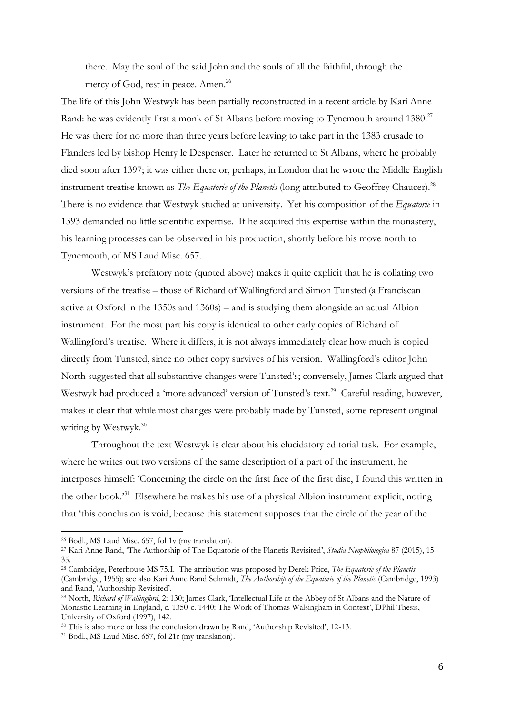there. May the soul of the said John and the souls of all the faithful, through the mercy of God, rest in peace. Amen.<sup>26</sup>

The life of this John Westwyk has been partially reconstructed in a recent article by Kari Anne Rand: he was evidently first a monk of St Albans before moving to Tynemouth around 1380.<sup>27</sup> He was there for no more than three years before leaving to take part in the 1383 crusade to Flanders led by bishop Henry le Despenser. Later he returned to St Albans, where he probably died soon after 1397; it was either there or, perhaps, in London that he wrote the Middle English instrument treatise known as *The Equatorie of the Planetis* (long attributed to Geoffrey Chaucer).<sup>28</sup> There is no evidence that Westwyk studied at university. Yet his composition of the *Equatorie* in 1393 demanded no little scientific expertise. If he acquired this expertise within the monastery, his learning processes can be observed in his production, shortly before his move north to Tynemouth, of MS Laud Misc. 657.

Westwyk's prefatory note (quoted above) makes it quite explicit that he is collating two versions of the treatise – those of Richard of Wallingford and Simon Tunsted (a Franciscan active at Oxford in the 1350s and 1360s) – and is studying them alongside an actual Albion instrument. For the most part his copy is identical to other early copies of Richard of Wallingford's treatise. Where it differs, it is not always immediately clear how much is copied directly from Tunsted, since no other copy survives of his version. Wallingford's editor John North suggested that all substantive changes were Tunsted's; conversely, James Clark argued that Westwyk had produced a 'more advanced' version of Tunsted's text.<sup>29</sup> Careful reading, however, makes it clear that while most changes were probably made by Tunsted, some represent original writing by Westwyk.<sup>30</sup>

Throughout the text Westwyk is clear about his elucidatory editorial task. For example, where he writes out two versions of the same description of a part of the instrument, he interposes himself: 'Concerning the circle on the first face of the first disc, I found this written in the other book.' <sup>31</sup> Elsewhere he makes his use of a physical Albion instrument explicit, noting that 'this conclusion is void, because this statement supposes that the circle of the year of the

<sup>26</sup> Bodl., MS Laud Misc. 657, fol 1v (my translation).

<sup>27</sup> Kari Anne Rand, 'The Authorship of The Equatorie of the Planetis Revisited', *Studia Neophilologica* 87 (2015), 15– 35.

<sup>28</sup> Cambridge, Peterhouse MS 75.I. The attribution was proposed by Derek Price, *The Equatorie of the Planetis* (Cambridge, 1955); see also Kari Anne Rand Schmidt, *The Authorship of the Equatorie of the Planetis* (Cambridge, 1993) and Rand, 'Authorship Revisited'.

<sup>29</sup> North, *Richard of Wallingford*, 2: 130; James Clark, 'Intellectual Life at the Abbey of St Albans and the Nature of Monastic Learning in England, c. 1350-c. 1440: The Work of Thomas Walsingham in Context', DPhil Thesis, University of Oxford (1997), 142.

<sup>30</sup> This is also more or less the conclusion drawn by Rand, 'Authorship Revisited', 12-13.

<sup>31</sup> Bodl., MS Laud Misc. 657, fol 21r (my translation).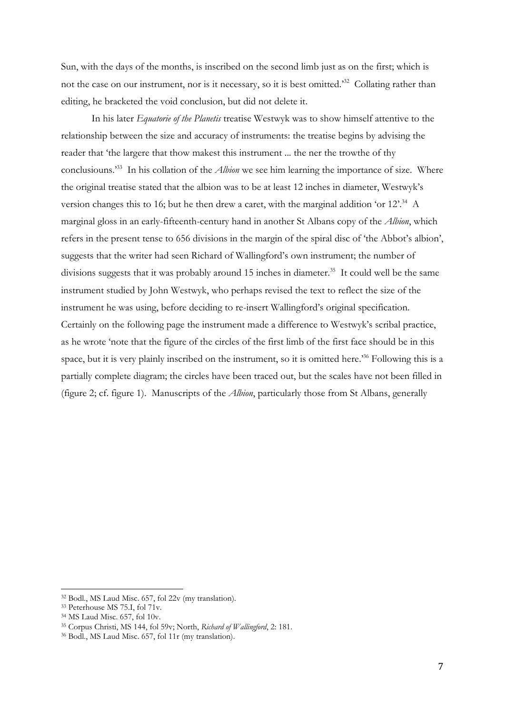Sun, with the days of the months, is inscribed on the second limb just as on the first; which is not the case on our instrument, nor is it necessary, so it is best omitted.<sup>32</sup> Collating rather than editing, he bracketed the void conclusion, but did not delete it.

In his later *Equatorie of the Planetis* treatise Westwyk was to show himself attentive to the relationship between the size and accuracy of instruments: the treatise begins by advising the reader that 'the largere that thow makest this instrument ... the ner the trowthe of thy conclusiouns.<sup>33</sup> In his collation of the *Albion* we see him learning the importance of size. Where the original treatise stated that the albion was to be at least 12 inches in diameter, Westwyk's version changes this to 16; but he then drew a caret, with the marginal addition 'or 12'.<sup>34</sup> A marginal gloss in an early-fifteenth-century hand in another St Albans copy of the *Albion*, which refers in the present tense to 656 divisions in the margin of the spiral disc of 'the Abbot's albion', suggests that the writer had seen Richard of Wallingford's own instrument; the number of divisions suggests that it was probably around 15 inches in diameter.<sup>35</sup> It could well be the same instrument studied by John Westwyk, who perhaps revised the text to reflect the size of the instrument he was using, before deciding to re-insert Wallingford's original specification. Certainly on the following page the instrument made a difference to Westwyk's scribal practice, as he wrote 'note that the figure of the circles of the first limb of the first face should be in this space, but it is very plainly inscribed on the instrument, so it is omitted here.'<sup>36</sup> Following this is a partially complete diagram; the circles have been traced out, but the scales have not been filled in (figure 2; cf. figure 1). Manuscripts of the *Albion*, particularly those from St Albans, generally

<sup>32</sup> Bodl., MS Laud Misc. 657, fol 22v (my translation).

<sup>33</sup> Peterhouse MS 75.I, fol 71v.

<sup>34</sup> MS Laud Misc. 657, fol 10v.

<sup>35</sup> Corpus Christi, MS 144, fol 59v; North, *Richard of Wallingford*, 2: 181.

<sup>36</sup> Bodl., MS Laud Misc. 657, fol 11r (my translation).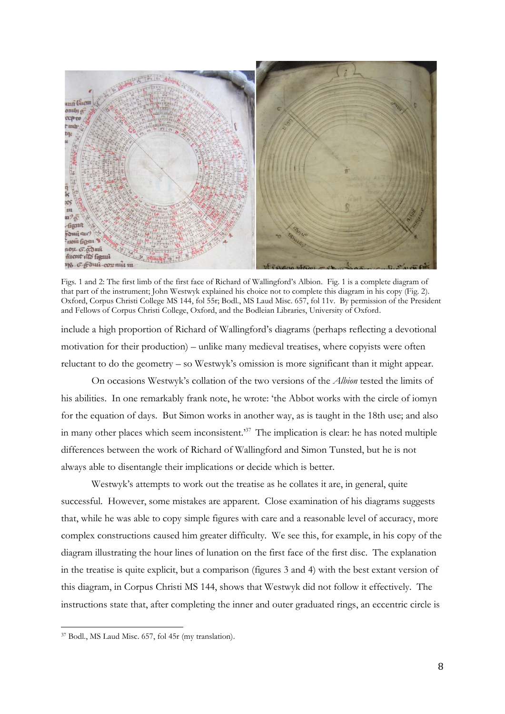

Figs. 1 and 2: The first limb of the first face of Richard of Wallingford's Albion. Fig. 1 is a complete diagram of that part of the instrument; John Westwyk explained his choice not to complete this diagram in his copy (Fig. 2). Oxford, Corpus Christi College MS 144, fol 55r; Bodl., MS Laud Misc. 657, fol 11v. By permission of the President and Fellows of Corpus Christi College, Oxford, and the Bodleian Libraries, University of Oxford.

include a high proportion of Richard of Wallingford's diagrams (perhaps reflecting a devotional motivation for their production) – unlike many medieval treatises, where copyists were often reluctant to do the geometry – so Westwyk's omission is more significant than it might appear.

On occasions Westwyk's collation of the two versions of the *Albion* tested the limits of his abilities. In one remarkably frank note, he wrote: 'the Abbot works with the circle of iomyn for the equation of days. But Simon works in another way, as is taught in the 18th use; and also in many other places which seem inconsistent.<sup>37</sup> The implication is clear: he has noted multiple differences between the work of Richard of Wallingford and Simon Tunsted, but he is not always able to disentangle their implications or decide which is better.

Westwyk's attempts to work out the treatise as he collates it are, in general, quite successful. However, some mistakes are apparent. Close examination of his diagrams suggests that, while he was able to copy simple figures with care and a reasonable level of accuracy, more complex constructions caused him greater difficulty. We see this, for example, in his copy of the diagram illustrating the hour lines of lunation on the first face of the first disc. The explanation in the treatise is quite explicit, but a comparison (figures 3 and 4) with the best extant version of this diagram, in Corpus Christi MS 144, shows that Westwyk did not follow it effectively. The instructions state that, after completing the inner and outer graduated rings, an eccentric circle is

<sup>37</sup> Bodl., MS Laud Misc. 657, fol 45r (my translation).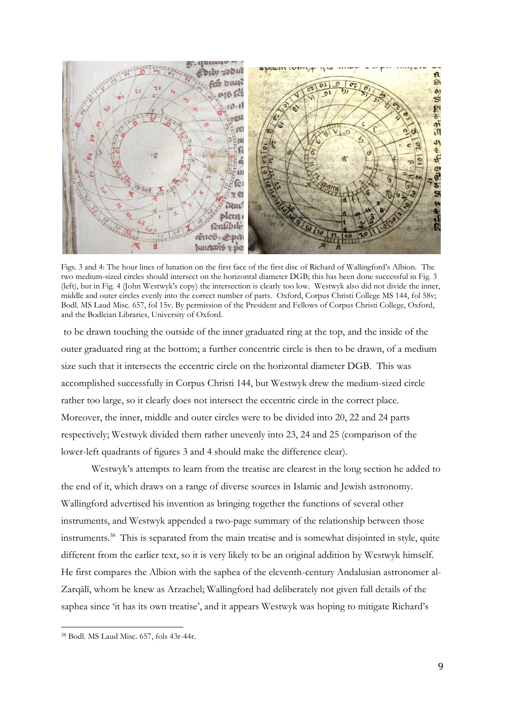

Figs. 3 and 4: The hour lines of lunation on the first face of the first disc of Richard of Wallingford's Albion. The two medium-sized circles should intersect on the horizontal diameter DGB; this has been done successful in Fig. 3 (left), but in Fig. 4 (John Westwyk's copy) the intersection is clearly too low. Westwyk also did not divide the inner, middle and outer circles evenly into the correct number of parts. Oxford, Corpus Christi College MS 144, fol 58v; Bodl. MS Laud Misc. 657, fol 15v. By permission of the President and Fellows of Corpus Christi College, Oxford, and the Bodleian Libraries, University of Oxford.

to be drawn touching the outside of the inner graduated ring at the top, and the inside of the outer graduated ring at the bottom; a further concentric circle is then to be drawn, of a medium size such that it intersects the eccentric circle on the horizontal diameter DGB. This was accomplished successfully in Corpus Christi 144, but Westwyk drew the medium-sized circle rather too large, so it clearly does not intersect the eccentric circle in the correct place. Moreover, the inner, middle and outer circles were to be divided into 20, 22 and 24 parts respectively; Westwyk divided them rather unevenly into 23, 24 and 25 (comparison of the lower-left quadrants of figures 3 and 4 should make the difference clear).

Westwyk's attempts to learn from the treatise are clearest in the long section he added to the end of it, which draws on a range of diverse sources in Islamic and Jewish astronomy. Wallingford advertised his invention as bringing together the functions of several other instruments, and Westwyk appended a two-page summary of the relationship between those instruments. 38 This is separated from the main treatise and is somewhat disjointed in style, quite different from the earlier text, so it is very likely to be an original addition by Westwyk himself. He first compares the Albion with the saphea of the eleventh-century Andalusian astronomer al-Zarqālī, whom he knew as Arzachel; Wallingford had deliberately not given full details of the saphea since 'it has its own treatise', and it appears Westwyk was hoping to mitigate Richard's

<sup>38</sup> Bodl. MS Laud Misc. 657, fols 43r-44r.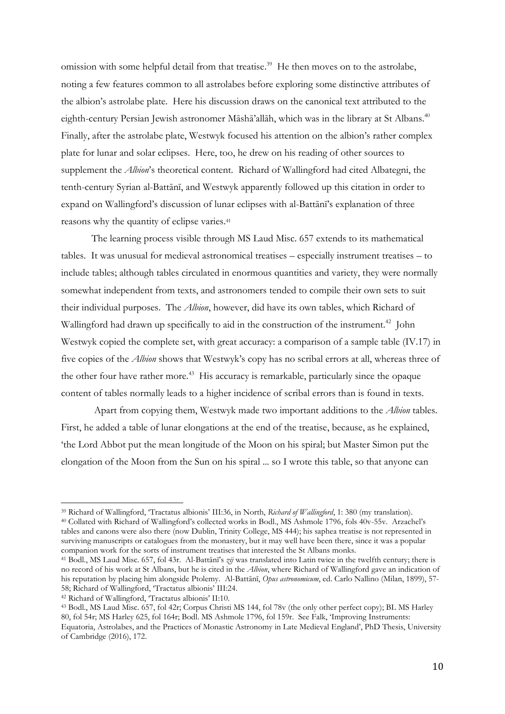omission with some helpful detail from that treatise. 39 He then moves on to the astrolabe, noting a few features common to all astrolabes before exploring some distinctive attributes of the albion's astrolabe plate. Here his discussion draws on the canonical text attributed to the eighth-century Persian Jewish astronomer Māshā'allāh, which was in the library at St Albans.<sup>40</sup> Finally, after the astrolabe plate, Westwyk focused his attention on the albion's rather complex plate for lunar and solar eclipses. Here, too, he drew on his reading of other sources to supplement the *Albion*'s theoretical content. Richard of Wallingford had cited Albategni, the tenth-century Syrian al-Battānī, and Westwyk apparently followed up this citation in order to expand on Wallingford's discussion of lunar eclipses with al-Battānī's explanation of three reasons why the quantity of eclipse varies.<sup>41</sup>

The learning process visible through MS Laud Misc. 657 extends to its mathematical tables. It was unusual for medieval astronomical treatises – especially instrument treatises – to include tables; although tables circulated in enormous quantities and variety, they were normally somewhat independent from texts, and astronomers tended to compile their own sets to suit their individual purposes. The *Albion*, however, did have its own tables, which Richard of Wallingford had drawn up specifically to aid in the construction of the instrument.<sup>42</sup> John Westwyk copied the complete set, with great accuracy: a comparison of a sample table (IV.17) in five copies of the *Albion* shows that Westwyk's copy has no scribal errors at all, whereas three of the other four have rather more.<sup>43</sup> His accuracy is remarkable, particularly since the opaque content of tables normally leads to a higher incidence of scribal errors than is found in texts.

Apart from copying them, Westwyk made two important additions to the *Albion* tables. First, he added a table of lunar elongations at the end of the treatise, because, as he explained, 'the Lord Abbot put the mean longitude of the Moon on his spiral; but Master Simon put the elongation of the Moon from the Sun on his spiral ... so I wrote this table, so that anyone can

<sup>39</sup> Richard of Wallingford, 'Tractatus albionis' III:36, in North, *Richard of Wallingford*, 1: 380 (my translation). <sup>40</sup> Collated with Richard of Wallingford's collected works in Bodl., MS Ashmole 1796, fols 40v-55v. Arzachel's tables and canons were also there (now Dublin, Trinity College, MS 444); his saphea treatise is not represented in surviving manuscripts or catalogues from the monastery, but it may well have been there, since it was a popular companion work for the sorts of instrument treatises that interested the St Albans monks.

<sup>41</sup> Bodl., MS Laud Misc. 657, fol 43r. Al-Battānī's *zīj* was translated into Latin twice in the twelfth century; there is no record of his work at St Albans, but he is cited in the *Albion*, where Richard of Wallingford gave an indication of his reputation by placing him alongside Ptolemy. Al-Battānī, *Opus astronomicum*, ed. Carlo Nallino (Milan, 1899), 57- 58; Richard of Wallingford, 'Tractatus albionis' III:24.

<sup>42</sup> Richard of Wallingford, 'Tractatus albionis' II:10.

<sup>43</sup> Bodl., MS Laud Misc. 657, fol 42r; Corpus Christi MS 144, fol 78v (the only other perfect copy); BL MS Harley 80, fol 54r; MS Harley 625, fol 164r; Bodl. MS Ashmole 1796, fol 159r. See Falk, 'Improving Instruments: Equatoria, Astrolabes, and the Practices of Monastic Astronomy in Late Medieval England', PhD Thesis, University of Cambridge (2016), 172.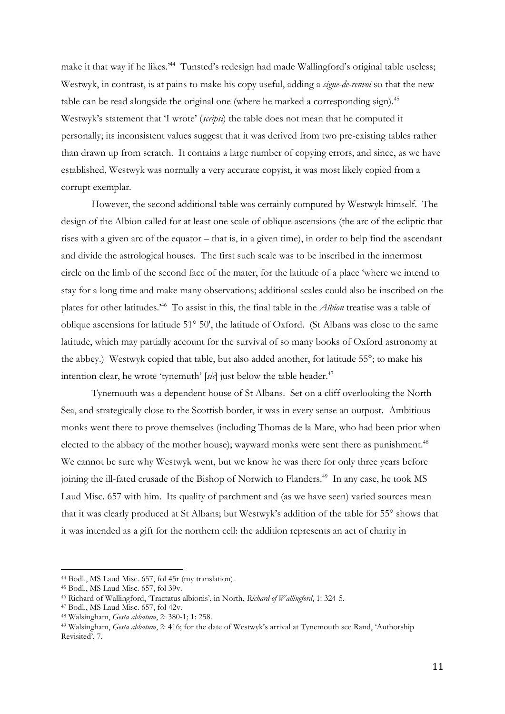make it that way if he likes.<sup>244</sup> Tunsted's redesign had made Wallingford's original table useless; Westwyk, in contrast, is at pains to make his copy useful, adding a *signe-de-renvoi* so that the new table can be read alongside the original one (where he marked a corresponding sign).<sup>45</sup> Westwyk's statement that 'I wrote' (*scripsi*) the table does not mean that he computed it personally; its inconsistent values suggest that it was derived from two pre-existing tables rather than drawn up from scratch. It contains a large number of copying errors, and since, as we have established, Westwyk was normally a very accurate copyist, it was most likely copied from a corrupt exemplar.

However, the second additional table was certainly computed by Westwyk himself. The design of the Albion called for at least one scale of oblique ascensions (the arc of the ecliptic that rises with a given arc of the equator – that is, in a given time), in order to help find the ascendant and divide the astrological houses. The first such scale was to be inscribed in the innermost circle on the limb of the second face of the mater, for the latitude of a place 'where we intend to stay for a long time and make many observations; additional scales could also be inscribed on the plates for other latitudes.<sup>46</sup> To assist in this, the final table in the *Albion* treatise was a table of oblique ascensions for latitude 51° 50', the latitude of Oxford. (St Albans was close to the same latitude, which may partially account for the survival of so many books of Oxford astronomy at the abbey.) Westwyk copied that table, but also added another, for latitude 55°; to make his intention clear, he wrote 'tynemuth' [*sic*] just below the table header.<sup>47</sup>

Tynemouth was a dependent house of St Albans. Set on a cliff overlooking the North Sea, and strategically close to the Scottish border, it was in every sense an outpost. Ambitious monks went there to prove themselves (including Thomas de la Mare, who had been prior when elected to the abbacy of the mother house); wayward monks were sent there as punishment.<sup>48</sup> We cannot be sure why Westwyk went, but we know he was there for only three years before joining the ill-fated crusade of the Bishop of Norwich to Flanders.<sup>49</sup> In any case, he took MS Laud Misc. 657 with him. Its quality of parchment and (as we have seen) varied sources mean that it was clearly produced at St Albans; but Westwyk's addition of the table for 55° shows that it was intended as a gift for the northern cell: the addition represents an act of charity in

<sup>44</sup> Bodl., MS Laud Misc. 657, fol 45r (my translation).

<sup>45</sup> Bodl., MS Laud Misc. 657, fol 39v.

<sup>46</sup> Richard of Wallingford, 'Tractatus albionis', in North, *Richard of Wallingford*, 1: 324-5.

<sup>47</sup> Bodl., MS Laud Misc. 657, fol 42v.

<sup>48</sup> Walsingham, *Gesta abbatum*, 2: 380-1; 1: 258.

<sup>49</sup> Walsingham, *Gesta abbatum*, 2: 416; for the date of Westwyk's arrival at Tynemouth see Rand, 'Authorship Revisited', 7.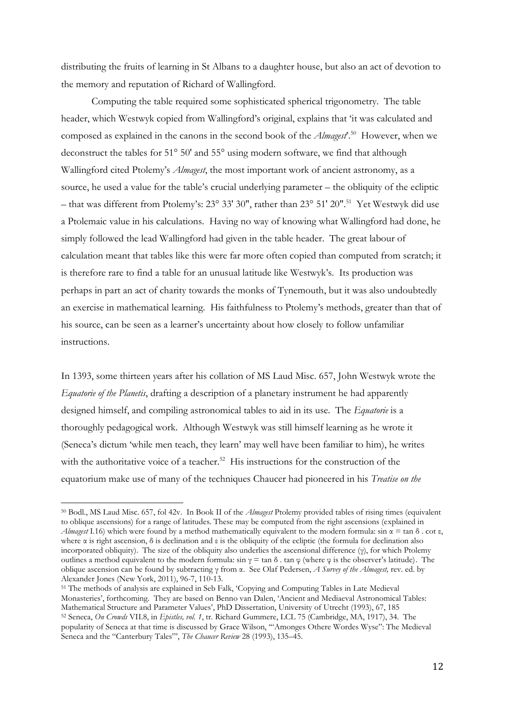distributing the fruits of learning in St Albans to a daughter house, but also an act of devotion to the memory and reputation of Richard of Wallingford.

Computing the table required some sophisticated spherical trigonometry. The table header, which Westwyk copied from Wallingford's original, explains that 'it was calculated and composed as explained in the canons in the second book of the *Almagest*'.<sup>50</sup> However, when we deconstruct the tables for 51° 50' and 55° using modern software, we find that although Wallingford cited Ptolemy's *Almagest*, the most important work of ancient astronomy, as a source, he used a value for the table's crucial underlying parameter – the obliquity of the ecliptic – that was different from Ptolemy's: 23° 33' 30", rather than 23° 51' 20".<sup>51</sup> Yet Westwyk did use a Ptolemaic value in his calculations. Having no way of knowing what Wallingford had done, he simply followed the lead Wallingford had given in the table header. The great labour of calculation meant that tables like this were far more often copied than computed from scratch; it is therefore rare to find a table for an unusual latitude like Westwyk's. Its production was perhaps in part an act of charity towards the monks of Tynemouth, but it was also undoubtedly an exercise in mathematical learning. His faithfulness to Ptolemy's methods, greater than that of his source, can be seen as a learner's uncertainty about how closely to follow unfamiliar instructions.

In 1393, some thirteen years after his collation of MS Laud Misc. 657, John Westwyk wrote the *Equatorie of the Planetis*, drafting a description of a planetary instrument he had apparently designed himself, and compiling astronomical tables to aid in its use. The *Equatorie* is a thoroughly pedagogical work. Although Westwyk was still himself learning as he wrote it (Seneca's dictum 'while men teach, they learn' may well have been familiar to him), he writes with the authoritative voice of a teacher.<sup>52</sup> His instructions for the construction of the equatorium make use of many of the techniques Chaucer had pioneered in his *Treatise on the* 

<sup>50</sup> Bodl., MS Laud Misc. 657, fol 42v. In Book II of the *Almagest* Ptolemy provided tables of rising times (equivalent to oblique ascensions) for a range of latitudes. These may be computed from the right ascensions (explained in *Almagest* I.16) which were found by a method mathematically equivalent to the modern formula:  $\sin \alpha = \tan \delta$ . cot ε, where  $\alpha$  is right ascension,  $\delta$  is declination and  $\varepsilon$  is the obliquity of the ecliptic (the formula for declination also incorporated obliquity). The size of the obliquity also underlies the ascensional difference (γ), for which Ptolemy outlines a method equivalent to the modern formula:  $sin γ = tan δ$ . tan φ (where φ is the observer's latitude). The oblique ascension can be found by subtracting γ from α. See Olaf Pedersen, *A Survey of the Almagest,* rev. ed. by Alexander Jones (New York, 2011), 96-7, 110-13.

<sup>51</sup> The methods of analysis are explained in Seb Falk, 'Copying and Computing Tables in Late Medieval Monasteries', forthcoming. They are based on Benno van Dalen, 'Ancient and Mediaeval Astronomical Tables: Mathematical Structure and Parameter Values', PhD Dissertation, University of Utrecht (1993), 67, 185

<sup>52</sup> Seneca, *On Crowds* VII.8, in *Epistles, vol. 1*, tr. Richard Gummere, LCL 75 (Cambridge, MA, 1917), 34. The popularity of Seneca at that time is discussed by Grace Wilson, '"Amonges Othere Wordes Wyse": The Medieval Seneca and the "Canterbury Tales"', *The Chaucer Review* 28 (1993), 135–45.